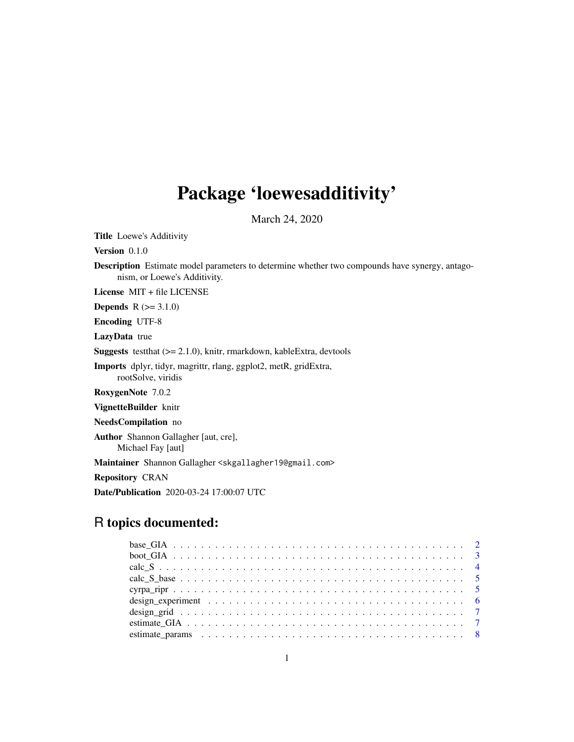# Package 'loewesadditivity'

March 24, 2020

Title Loewe's Additivity

Version 0.1.0

Description Estimate model parameters to determine whether two compounds have synergy, antagonism, or Loewe's Additivity.

License MIT + file LICENSE

**Depends**  $R (= 3.1.0)$ 

Encoding UTF-8

LazyData true

**Suggests** test that  $(>= 2.1.0)$ , knitr, rmarkdown, kable Extra, devtools

Imports dplyr, tidyr, magrittr, rlang, ggplot2, metR, gridExtra, rootSolve, viridis

RoxygenNote 7.0.2

VignetteBuilder knitr

NeedsCompilation no

Author Shannon Gallagher [aut, cre], Michael Fay [aut]

Maintainer Shannon Gallagher <skgallagher19@gmail.com>

Repository CRAN

Date/Publication 2020-03-24 17:00:07 UTC

# R topics documented: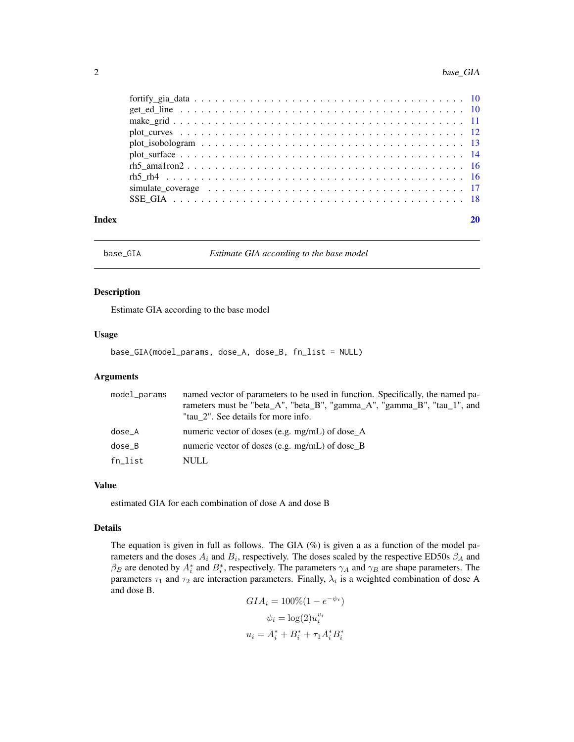<span id="page-1-0"></span>

| Index |  |
|-------|--|
|       |  |
|       |  |
|       |  |
|       |  |
|       |  |
|       |  |
|       |  |
|       |  |
|       |  |
|       |  |

base\_GIA *Estimate GIA according to the base model*

# Description

Estimate GIA according to the base model

# Usage

base\_GIA(model\_params, dose\_A, dose\_B, fn\_list = NULL)

#### Arguments

| model_params | named vector of parameters to be used in function. Specifically, the named pa-<br>rameters must be "beta_A", "beta_B", "gamma_A", "gamma_B", "tau_1", and<br>"tau 2". See details for more info. |
|--------------|--------------------------------------------------------------------------------------------------------------------------------------------------------------------------------------------------|
| dose_A       | numeric vector of doses (e.g. mg/mL) of dose_A                                                                                                                                                   |
| dose_B       | numeric vector of doses (e.g. mg/mL) of dose_B                                                                                                                                                   |
| fn_list      | NULL                                                                                                                                                                                             |

# Value

estimated GIA for each combination of dose A and dose B

#### Details

The equation is given in full as follows. The GIA  $(\%)$  is given a as a function of the model parameters and the doses  $A_i$  and  $B_i$ , respectively. The doses scaled by the respective ED50s  $\beta_A$  and  $\beta_B$  are denoted by  $A_i^*$  and  $B_i^*$ , respectively. The parameters  $\gamma_A$  and  $\gamma_B$  are shape parameters. The parameters  $\tau_1$  and  $\tau_2$  are interaction parameters. Finally,  $\lambda_i$  is a weighted combination of dose A and dose B.

$$
GIA_i = 100\%(1 - e^{-\psi_i})
$$

$$
\psi_i = \log(2)u_i^{v_i}
$$

$$
u_i = A_i^* + B_i^* + \tau_1 A_i^* B_i^*
$$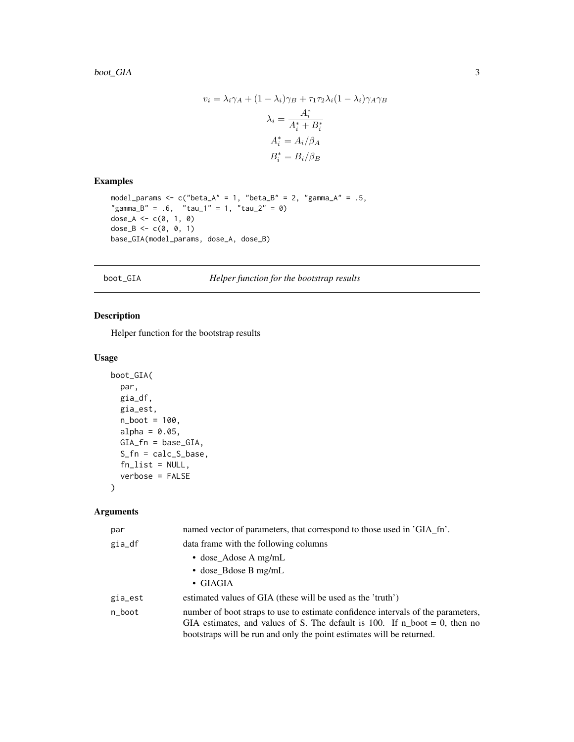<span id="page-2-0"></span>
$$
v_i = \lambda_i \gamma_A + (1 - \lambda_i)\gamma_B + \tau_1 \tau_2 \lambda_i (1 - \lambda_i)\gamma_A \gamma_B
$$

$$
\lambda_i = \frac{A_i^*}{A_i^* + B_i^*}
$$

$$
A_i^* = A_i/\beta_A
$$

$$
B_i^* = B_i/\beta_B
$$

# Examples

```
model_params \leq c("beta_A" = 1, "beta_B" = 2, "gamma_A" = .5,
"gamma_B" = .6, "tau_1" = 1, "tau_2" = 0)
dose_A <- c(0, 1, 0)
dose_B \leftarrow c(0, 0, 1)base_GIA(model_params, dose_A, dose_B)
```
boot\_GIA *Helper function for the bootstrap results*

# Description

Helper function for the bootstrap results

#### Usage

```
boot_GIA(
  par,
  gia_df,
  gia_est,
  n\_boot = 100,
  alpha = 0.05,
  GIA_fn = base_GIA,
  S_fn = calc_S_base,
  fn\_list = NULL,verbose = FALSE
\mathcal{L}
```

| par     | named vector of parameters, that correspond to those used in 'GIA_fn'.           |
|---------|----------------------------------------------------------------------------------|
| gia_df  | data frame with the following columns                                            |
|         | $\bullet$ dose Adose A mg/mL                                                     |
|         | $\bullet$ dose B dose B mg/mL                                                    |
|         | $\bullet$ GIAGIA                                                                 |
| gia_est | estimated values of GIA (these will be used as the 'truth')                      |
| n_boot  | number of boot straps to use to estimate confidence intervals of the parameters, |
|         | GIA estimates, and values of S. The default is 100. If $n\_boot = 0$ , then no   |
|         | bootstraps will be run and only the point estimates will be returned.            |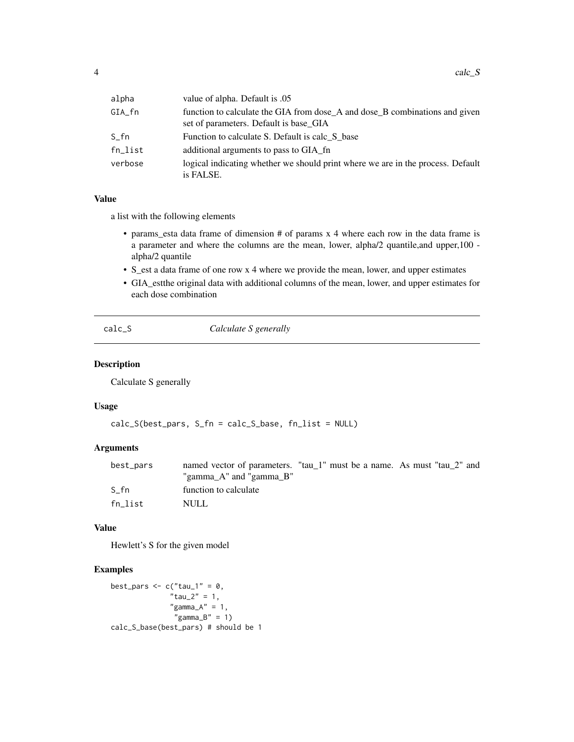<span id="page-3-0"></span>

| alpha   | value of alpha. Default is .05                                                                                        |
|---------|-----------------------------------------------------------------------------------------------------------------------|
| GIA_fn  | function to calculate the GIA from dose_A and dose_B combinations and given<br>set of parameters. Default is base_GIA |
| S fn    | Function to calculate S. Default is calc S base                                                                       |
| fn_list | additional arguments to pass to GIA fn                                                                                |
| verbose | logical indicating whether we should print where we are in the process. Default<br>is FALSE.                          |

a list with the following elements

- params\_esta data frame of dimension # of params x 4 where each row in the data frame is a parameter and where the columns are the mean, lower, alpha/2 quantile,and upper,100 alpha/2 quantile
- S\_est a data frame of one row x 4 where we provide the mean, lower, and upper estimates
- GIA\_estthe original data with additional columns of the mean, lower, and upper estimates for each dose combination

calc\_S *Calculate S generally*

# Description

Calculate S generally

# Usage

```
calc_S(best_pars, S_fn = calc_S_base, fn_list = NULL)
```
# Arguments

| best_pars | named vector of parameters. "tau 1" must be a name. As must "tau 2" and |  |
|-----------|-------------------------------------------------------------------------|--|
|           | "gamma A" and "gamma B"                                                 |  |
| S fn      | function to calculate                                                   |  |
| fn list   | NULL                                                                    |  |

# Value

Hewlett's S for the given model

```
best_pars <- c("tau_1" = 0,
               "tau_2" = 1,"gamma_A" = 1,"gamma_B<sup>"</sup> = 1)
calc_S_base(best_pars) # should be 1
```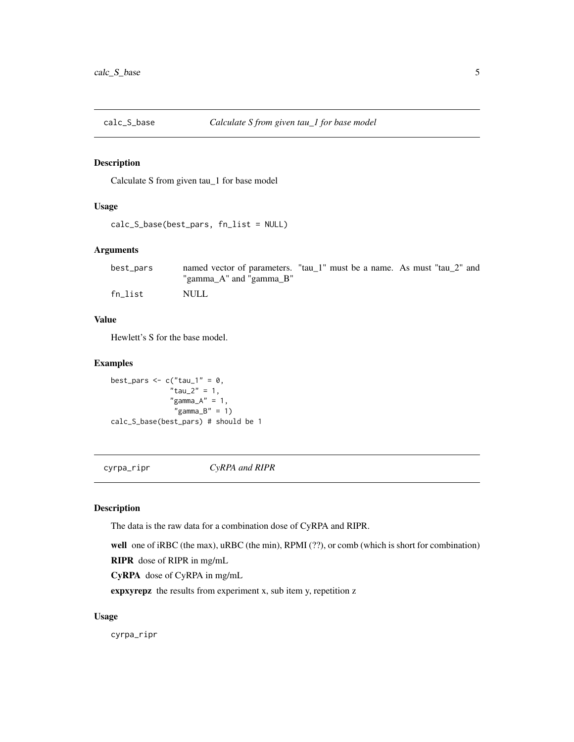<span id="page-4-0"></span>

# Description

Calculate S from given tau\_1 for base model

# Usage

```
calc_S_base(best_pars, fn_list = NULL)
```
# Arguments

| best_pars | named vector of parameters. "tau 1" must be a name. As must "tau 2" and |  |  |  |
|-----------|-------------------------------------------------------------------------|--|--|--|
|           | "gamma A" and "gamma B"                                                 |  |  |  |
| fn list   | NULL                                                                    |  |  |  |

# Value

Hewlett's S for the base model.

# Examples

```
best_pars <- c("tau_1" = 0,
               "tau_2" = 1,"gamma_A" = 1,"gamma_B<sup>n</sup> = 1)
calc_S_base(best_pars) # should be 1
```
cyrpa\_ripr *CyRPA and RIPR*

# Description

The data is the raw data for a combination dose of CyRPA and RIPR.

well one of iRBC (the max), uRBC (the min), RPMI (??), or comb (which is short for combination)

RIPR dose of RIPR in mg/mL

CyRPA dose of CyRPA in mg/mL

expxyrepz the results from experiment x, sub item y, repetition z

# Usage

cyrpa\_ripr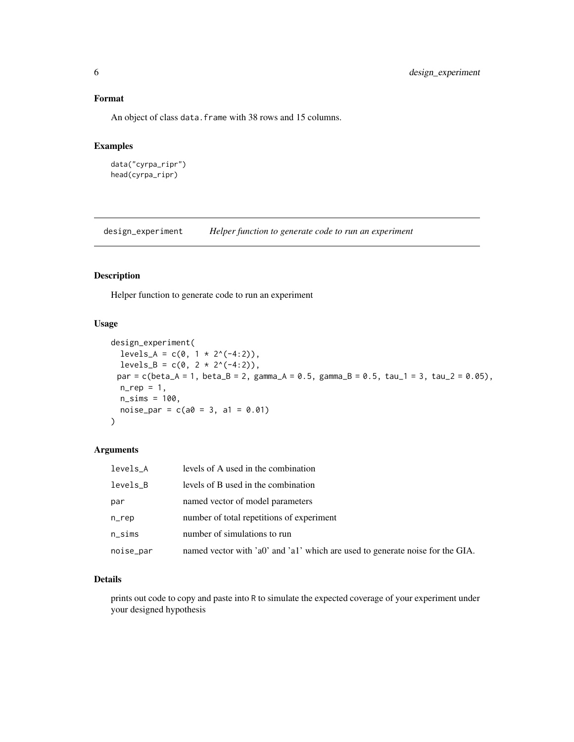# <span id="page-5-0"></span>Format

An object of class data.frame with 38 rows and 15 columns.

# Examples

```
data("cyrpa_ripr")
head(cyrpa_ripr)
```
design\_experiment *Helper function to generate code to run an experiment*

# Description

Helper function to generate code to run an experiment

# Usage

```
design_experiment(
 levels_A = c(0, 1 * 2^(-4:2)),levels_B = c(0, 2 * 2^(-4:2)),par = c(beta_A = 1, beta_B = 2, gamma_A = 0.5, gamma_B = 0.5, tau_1 = 3, tau_2 = 0.05),n_rep = 1,
 n_{\text{--}}\sin s = 100,noise\_par = c(a0 = 3, a1 = 0.01))
```
# Arguments

| levels A  | levels of A used in the combination                                           |
|-----------|-------------------------------------------------------------------------------|
| levels B  | levels of B used in the combination                                           |
| par       | named vector of model parameters                                              |
| n_rep     | number of total repetitions of experiment                                     |
| n_sims    | number of simulations to run                                                  |
| noise_par | named vector with 'a0' and 'a1' which are used to generate noise for the GIA. |

# Details

prints out code to copy and paste into R to simulate the expected coverage of your experiment under your designed hypothesis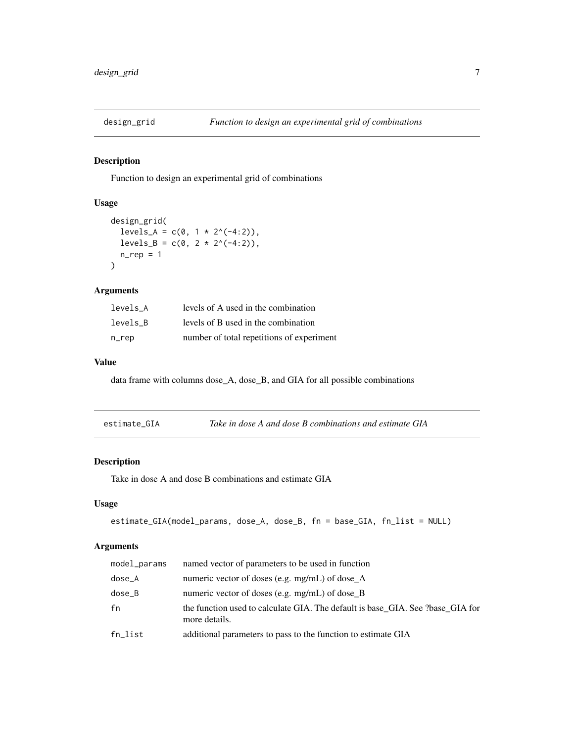<span id="page-6-0"></span>

# Description

Function to design an experimental grid of combinations

# Usage

```
design_grid(
  levels_A = c(\emptyset, 1 * 2^*(-4:2)),levels_B = c(0, 2 * 2^(-4:2)),n_rep = 1
\mathcal{L}
```
# Arguments

| levels A | levels of A used in the combination       |
|----------|-------------------------------------------|
| levels B | levels of B used in the combination       |
| n_rep    | number of total repetitions of experiment |

# Value

data frame with columns dose\_A, dose\_B, and GIA for all possible combinations

| estimate_GIA | Take in dose A and dose B combinations and estimate GIA |
|--------------|---------------------------------------------------------|
|--------------|---------------------------------------------------------|

# Description

Take in dose A and dose B combinations and estimate GIA

# Usage

```
estimate_GIA(model_params, dose_A, dose_B, fn = base_GIA, fn_list = NULL)
```

| model_params | named vector of parameters to be used in function                                               |
|--------------|-------------------------------------------------------------------------------------------------|
| dose_A       | numeric vector of doses (e.g. mg/mL) of dose_A                                                  |
| dose_B       | numeric vector of doses (e.g. $mg/mL$ ) of dose $B$                                             |
| fn           | the function used to calculate GIA. The default is base GIA. See ?base GIA for<br>more details. |
| fn_list      | additional parameters to pass to the function to estimate GIA                                   |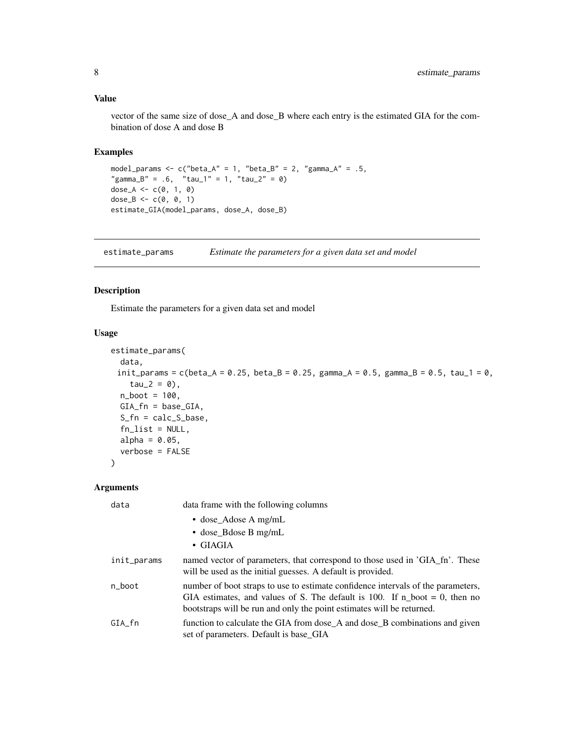<span id="page-7-0"></span>vector of the same size of dose\_A and dose\_B where each entry is the estimated GIA for the combination of dose A and dose B

# Examples

```
model_params <- c("beta_A" = 1, "beta_B" = 2, "gamma_A" = .5,"gamma_B" = .6, "tau_1" = 1, "tau_2" = 0)
dose_A <- c(0, 1, 0)
dose_B <- c(0, 0, 1)estimate_GIA(model_params, dose_A, dose_B)
```
estimate\_params *Estimate the parameters for a given data set and model*

# Description

Estimate the parameters for a given data set and model

#### Usage

```
estimate_params(
 data,
 init_params = c(beta_A = 0.25, beta_B = 0.25, gamma_A = 0.5, gamma_B = 0.5, tau_1 = 0,
    tau_2 = 0,
 n\_boot = 100,
 GIA_fn = base_GIA,
  S_fn = calc_S_base,
  fn\_list = NULL,alpha = 0.05,
 verbose = FALSE
\mathcal{L}
```

| data        | data frame with the following columns                                                                                                                                                                                                               |
|-------------|-----------------------------------------------------------------------------------------------------------------------------------------------------------------------------------------------------------------------------------------------------|
|             | $\bullet$ dose Adose A mg/mL                                                                                                                                                                                                                        |
|             | $\bullet$ dose_Bdose B mg/mL                                                                                                                                                                                                                        |
|             | $\bullet$ GIAGIA                                                                                                                                                                                                                                    |
| init_params | named vector of parameters, that correspond to those used in 'GIA_fn'. These<br>will be used as the initial guesses. A default is provided.                                                                                                         |
| n_boot      | number of boot straps to use to estimate confidence intervals of the parameters,<br>GIA estimates, and values of S. The default is 100. If $n_{\text{root}} = 0$ , then no<br>bootstraps will be run and only the point estimates will be returned. |
| GIA_fn      | function to calculate the GIA from dose_A and dose_B combinations and given<br>set of parameters. Default is base_GIA                                                                                                                               |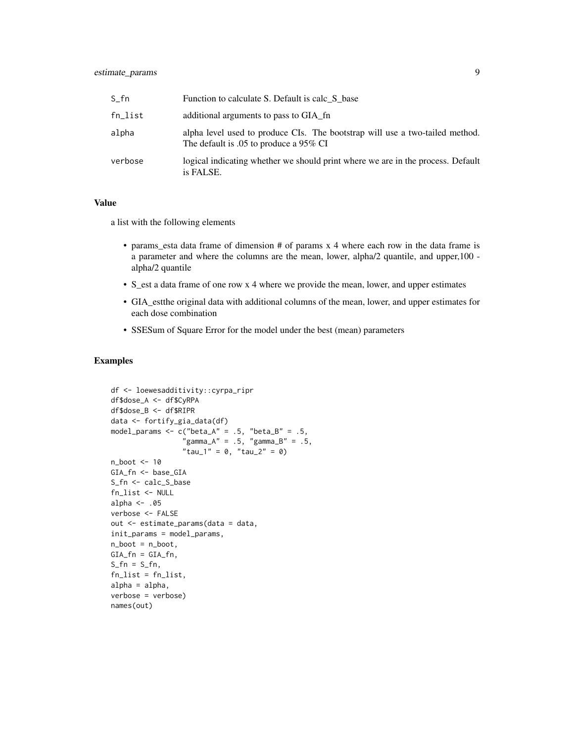| S fn    | Function to calculate S. Default is calc S base                                                                        |
|---------|------------------------------------------------------------------------------------------------------------------------|
| fn_list | additional arguments to pass to GIA fn                                                                                 |
| alpha   | alpha level used to produce CIs. The bootstrap will use a two-tailed method.<br>The default is .05 to produce a 95% CI |
| verbose | logical indicating whether we should print where we are in the process. Default<br>is FALSE.                           |

a list with the following elements

- params\_esta data frame of dimension # of params x 4 where each row in the data frame is a parameter and where the columns are the mean, lower, alpha/2 quantile, and upper,100 alpha/2 quantile
- S\_est a data frame of one row x 4 where we provide the mean, lower, and upper estimates
- GIA\_estthe original data with additional columns of the mean, lower, and upper estimates for each dose combination
- SSESum of Square Error for the model under the best (mean) parameters

```
df <- loewesadditivity::cyrpa_ripr
df$dose_A <- df$CyRPA
df$dose_B <- df$RIPR
data <- fortify_gia_data(df)
model_params \leq c("beta_A" = .5, "beta_B" = .5,
                 "gamma_A" = .5, "gamma_B" = .5,"tau_1" = 0, "tau_2" = 0)n_boot <- 10
GIA_fn <- base_GIA
S_fn <- calc_S_base
fn_list <- NULL
alpha <-.05
verbose <- FALSE
out <- estimate_params(data = data,
init_params = model_params,
n\_boot = n\_boot,GIA_fn = GIA_fn,
S_fn = S_fn,
fn_list = fn_list,
alpha = alpha,
verbose = verbose)
names(out)
```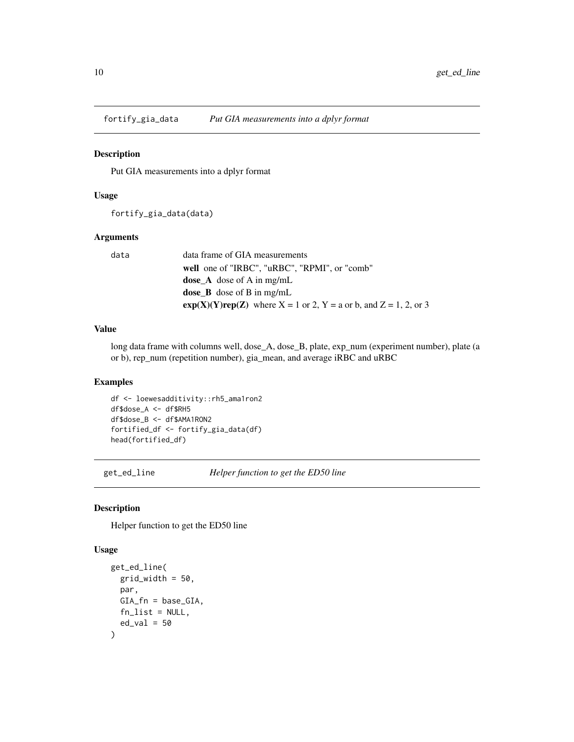<span id="page-9-0"></span>fortify\_gia\_data *Put GIA measurements into a dplyr format*

# Description

Put GIA measurements into a dplyr format

# Usage

fortify\_gia\_data(data)

# Arguments

| data | data frame of GIA measurements                                           |
|------|--------------------------------------------------------------------------|
|      | well one of "IRBC", "uRBC", "RPMI", or "comb"                            |
|      | <b>dose</b> A dose of A in mg/mL                                         |
|      | <b>dose B</b> dose of <b>B</b> in mg/mL                                  |
|      | $exp(X)(Y)rep(Z)$ where $X = 1$ or 2, $Y = a$ or b, and $Z = 1, 2,$ or 3 |

# Value

long data frame with columns well, dose\_A, dose\_B, plate, exp\_num (experiment number), plate (a or b), rep\_num (repetition number), gia\_mean, and average iRBC and uRBC

# Examples

```
df <- loewesadditivity::rh5_ama1ron2
df$dose_A <- df$RH5
df$dose_B <- df$AMA1RON2
fortified_df <- fortify_gia_data(df)
head(fortified_df)
```
get\_ed\_line *Helper function to get the ED50 line*

# Description

Helper function to get the ED50 line

# Usage

```
get_ed_line(
  grid\_width = 50,par,
 GIA_fn = base_GIA,
 fn_list = NULL,
  ed_val = 50)
```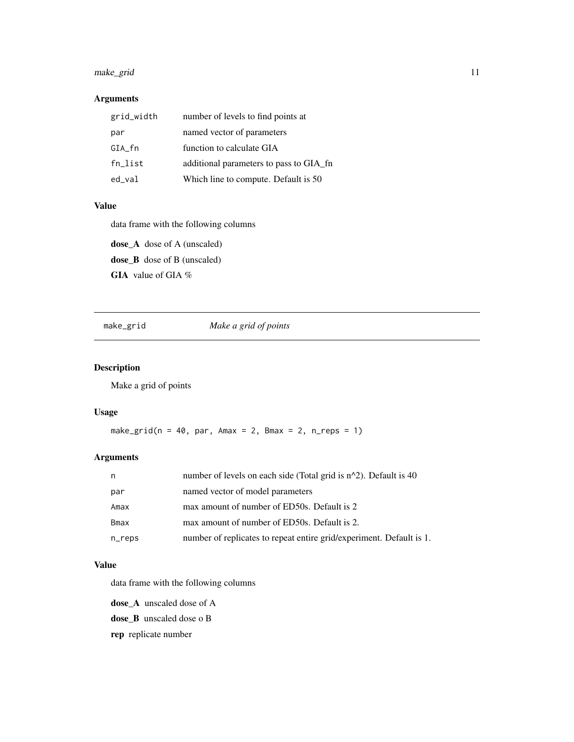# <span id="page-10-0"></span>make\_grid 11

# Arguments

| grid_width | number of levels to find points at      |
|------------|-----------------------------------------|
| par        | named vector of parameters              |
| GIA_fn     | function to calculate GIA               |
| fn_list    | additional parameters to pass to GIA_fn |
| ed_val     | Which line to compute. Default is 50    |

# Value

data frame with the following columns

dose\_A dose of A (unscaled) dose\_B dose of B (unscaled) GIA value of GIA %

# make\_grid *Make a grid of points*

# Description

Make a grid of points

# Usage

make\_grid( $n = 40$ , par, Amax = 2, Bmax = 2, n\_reps = 1)

# Arguments

| n      | number of levels on each side (Total grid is $n^2$ ). Default is 40  |
|--------|----------------------------------------------------------------------|
| par    | named vector of model parameters                                     |
| Amax   | max amount of number of ED50s. Default is 2                          |
| Bmax   | max amount of number of ED50s. Default is 2.                         |
| n_reps | number of replicates to repeat entire grid/experiment. Default is 1. |

# Value

data frame with the following columns

dose\_A unscaled dose of A

dose\_B unscaled dose o B

rep replicate number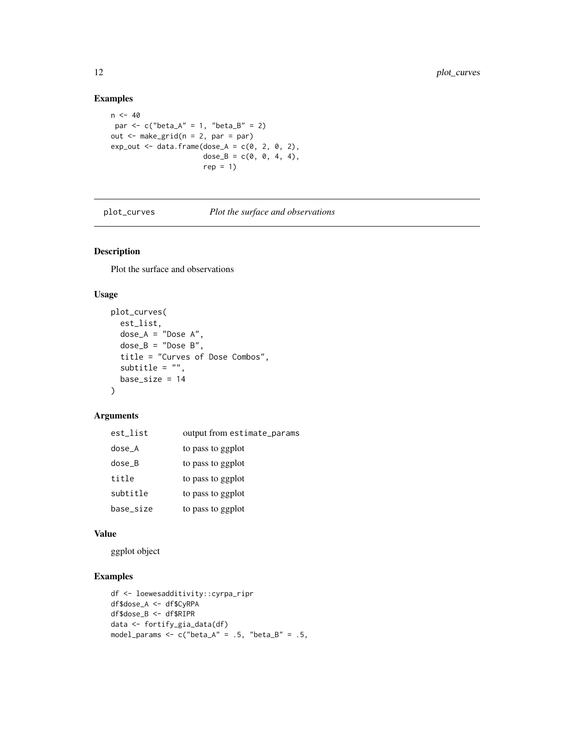# Examples

```
n < -40par \leq c("beta_A" = 1, "beta_B" = 2)
out \leq make_grid(n = 2, par = par)
exp_out <- data.frame(dose_A = c(0, 2, 0, 2),
                     dose_B = c(0, 0, 4, 4),
                      rep = 1
```
plot\_curves *Plot the surface and observations*

# Description

Plot the surface and observations

# Usage

```
plot_curves(
 est_list,
 dose_A = "Dose A",
 dose_B = "Dose B",title = "Curves of Dose Combos",
 subtitle = ",
 base_size = 14
)
```
# Arguments

| est_list  | output from estimate_params |
|-----------|-----------------------------|
| dose_A    | to pass to ggplot           |
| dose_B    | to pass to ggplot           |
| title     | to pass to ggplot           |
| subtitle  | to pass to ggplot           |
| base_size | to pass to ggplot           |

#### Value

ggplot object

```
df <- loewesadditivity::cyrpa_ripr
df$dose_A <- df$CyRPA
df$dose_B <- df$RIPR
data <- fortify_gia_data(df)
model_params <- c("beta_A" = .5, "beta_B" = .5,
```
<span id="page-11-0"></span>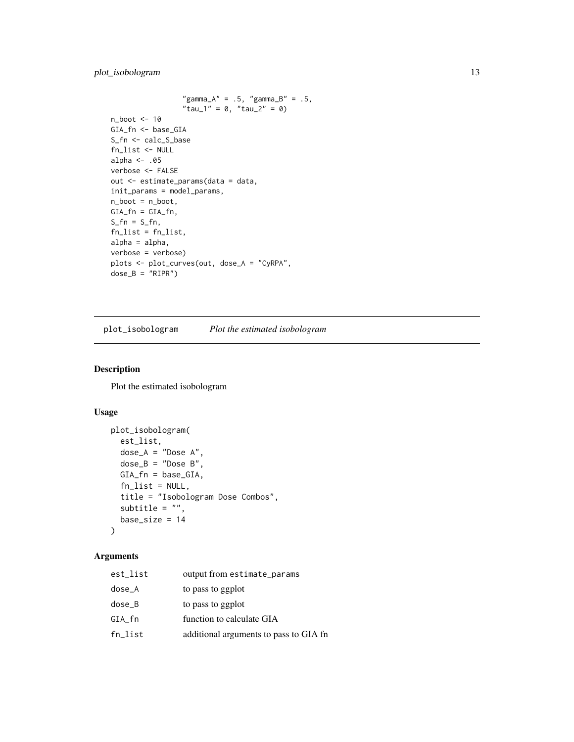# <span id="page-12-0"></span>plot\_isobologram 13

```
"gamma_A" = .5, "gamma_B" = .5,"tau_1" = 0, "tau_2" = 0)
n_boot <- 10
GIA_fn <- base_GIA
S_fn <- calc_S_base
fn_list <- NULL
alpha <- .05
verbose <- FALSE
out <- estimate_params(data = data,
init_params = model_params,
n_boot = n_boot,
GIA_fn = GIA_fn,
S_f n = S_f n,
fn_list = fn_list,
alpha = alpha,
verbose = verbose)
plots <- plot_curves(out, dose_A = "CyRPA",
dose_B = "RIPR")
```
plot\_isobologram *Plot the estimated isobologram*

# Description

Plot the estimated isobologram

# Usage

```
plot_isobologram(
 est_list,
 dose_A = "Dose A",
 dose_B = "Dose B",GIA_fn = base_GIA,
 fn\_list = NULL,title = "Isobologram Dose Combos",
  subtitle = ",
 base_size = 14
)
```

| est_list | output from estimate_params            |
|----------|----------------------------------------|
| dose_A   | to pass to ggplot                      |
| dose_B   | to pass to ggplot                      |
| GIA_fn   | function to calculate GIA              |
| fn_list  | additional arguments to pass to GIA fn |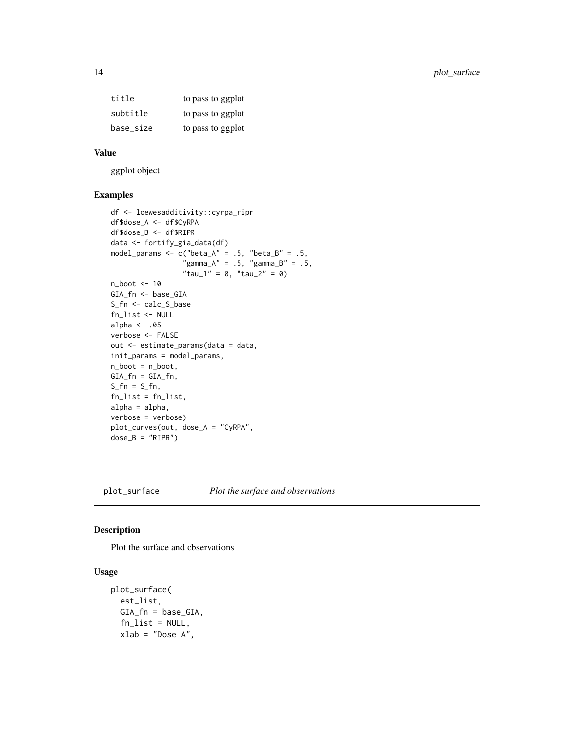<span id="page-13-0"></span>

| title     | to pass to ggplot |
|-----------|-------------------|
| subtitle  | to pass to ggplot |
| base_size | to pass to ggplot |

ggplot object

# Examples

```
df <- loewesadditivity::cyrpa_ripr
df$dose_A <- df$CyRPA
df$dose_B <- df$RIPR
data <- fortify_gia_data(df)
model_params \leq c("beta_A" = .5, "beta_B" = .5,
                 "gamma_A" = .5, "gamma_B" = .5,"tau_1" = 0, "tau_2" = 0)n_boot <- 10
GIA_fn <- base_GIA
S_fn <- calc_S_base
fn_list <- NULL
alpha <- .05
verbose <- FALSE
out <- estimate_params(data = data,
init_params = model_params,
n_boot = n_boot,
GIA_fn = GIA_fn,
S_fn = S_fn,
fn_list = fn_list,
alpha = alpha,
verbose = verbose)
plot_curves(out, dose_A = "CyRPA",
dose_B = "RIPR")
```
plot\_surface *Plot the surface and observations*

# Description

Plot the surface and observations

# Usage

```
plot_surface(
 est_list,
  GIA_fn = base_GIA,
  fn_list = NULL,
  xlab = "Dose A",
```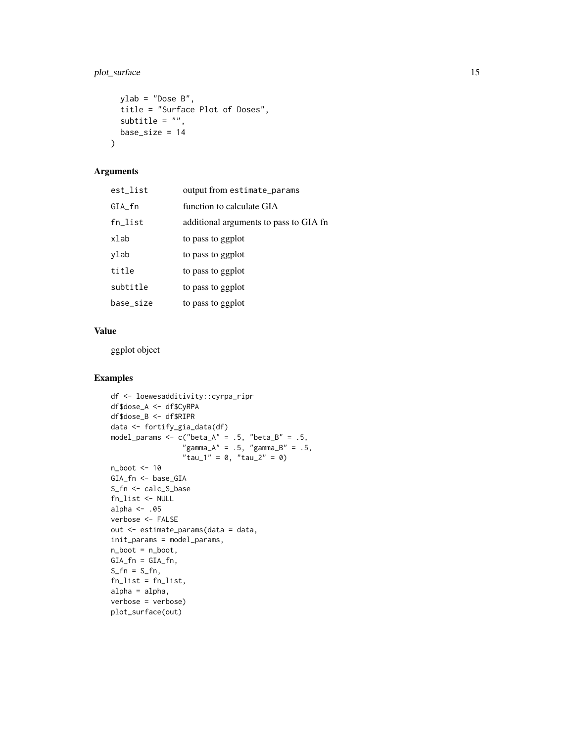# plot\_surface 15

```
ylab = "Dose B",
 title = "Surface Plot of Doses",
 subtitle = ",
 base_size = 14
)
```
# Arguments

| est_list  | output from estimate_params            |
|-----------|----------------------------------------|
| GIA_fn    | function to calculate GIA              |
| fn_list   | additional arguments to pass to GIA fn |
| xlab      | to pass to ggplot                      |
| vlab      | to pass to ggplot                      |
| title     | to pass to ggplot                      |
| subtitle  | to pass to ggplot                      |
| base_size | to pass to ggplot                      |
|           |                                        |

# Value

ggplot object

```
df <- loewesadditivity::cyrpa_ripr
df$dose_A <- df$CyRPA
df$dose_B <- df$RIPR
data <- fortify_gia_data(df)
model_params <- c("beta_A" = .5, "beta_B" = .5,
                 "gamma_A" = .5, "gamma_B" = .5,"tau_1" = 0, "tau_2" = 0)
n_boot <- 10
GIA_fn <- base_GIA
S_fn <- calc_S_base
fn_list <- NULL
alpha \leq -0.05verbose <- FALSE
out <- estimate_params(data = data,
init_params = model_params,
n_boot = n_boot,
GIA_fn = GIA_fn,
S_f n = S_f n,
fn_list = fn_list,
alpha = alpha,
verbose = verbose)
plot_surface(out)
```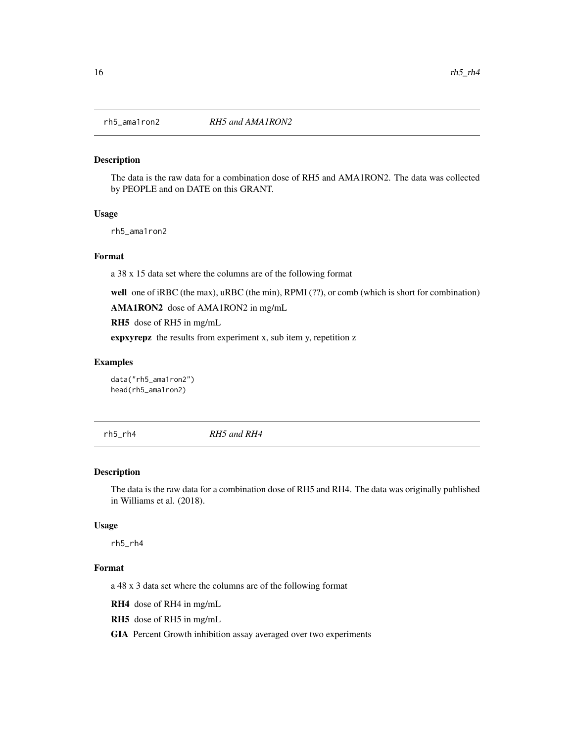<span id="page-15-0"></span>

#### Description

The data is the raw data for a combination dose of RH5 and AMA1RON2. The data was collected by PEOPLE and on DATE on this GRANT.

#### Usage

rh5\_ama1ron2

#### Format

a 38 x 15 data set where the columns are of the following format

well one of iRBC (the max), uRBC (the min), RPMI (??), or comb (which is short for combination)

AMA1RON2 dose of AMA1RON2 in mg/mL

RH5 dose of RH5 in mg/mL

expxyrepz the results from experiment x, sub item y, repetition z

# Examples

data("rh5\_ama1ron2") head(rh5\_ama1ron2)

rh5\_rh4 *RH5 and RH4*

#### Description

The data is the raw data for a combination dose of RH5 and RH4. The data was originally published in Williams et al. (2018).

# Usage

rh5\_rh4

#### Format

a 48 x 3 data set where the columns are of the following format

RH4 dose of RH4 in mg/mL

RH5 dose of RH5 in mg/mL

GIA Percent Growth inhibition assay averaged over two experiments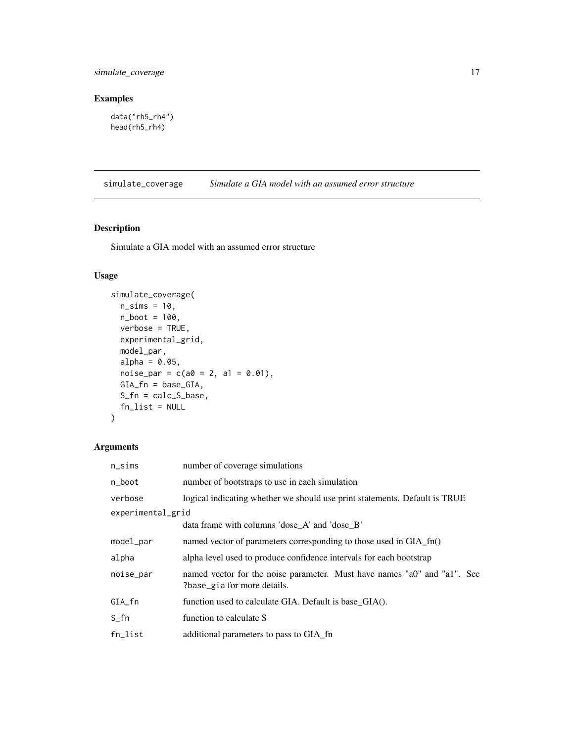# <span id="page-16-0"></span>simulate\_coverage 17

# Examples

```
data("rh5_rh4")
head(rh5_rh4)
```
simulate\_coverage *Simulate a GIA model with an assumed error structure*

# Description

Simulate a GIA model with an assumed error structure

# Usage

```
simulate_coverage(
 n\_sims = 10,
 n_boot = 100,
 verbose = TRUE,
 experimental_grid,
 model_par,
 alpha = 0.05,
 noise_par = c(a0 = 2, a1 = 0.01),
 GIA_fn = base_GIA,
 S_fn = calc_S_base,
  fn_list = NULL
\mathcal{L}
```

| $n$ _sims         | number of coverage simulations                                                                          |  |
|-------------------|---------------------------------------------------------------------------------------------------------|--|
| n_boot            | number of bootstraps to use in each simulation                                                          |  |
| verbose           | logical indicating whether we should use print statements. Default is TRUE                              |  |
| experimental_grid |                                                                                                         |  |
|                   | data frame with columns 'dose_A' and 'dose_B'                                                           |  |
| model_par         | named vector of parameters corresponding to those used in GIA_fn()                                      |  |
| alpha             | alpha level used to produce confidence intervals for each bootstrap                                     |  |
| noise_par         | named vector for the noise parameter. Must have names "a0" and "a1". See<br>?base_gia for more details. |  |
| GIA_fn            | function used to calculate GIA. Default is base_GIA().                                                  |  |
| $S_fn$            | function to calculate S                                                                                 |  |
| fn list           | additional parameters to pass to GIA_fn                                                                 |  |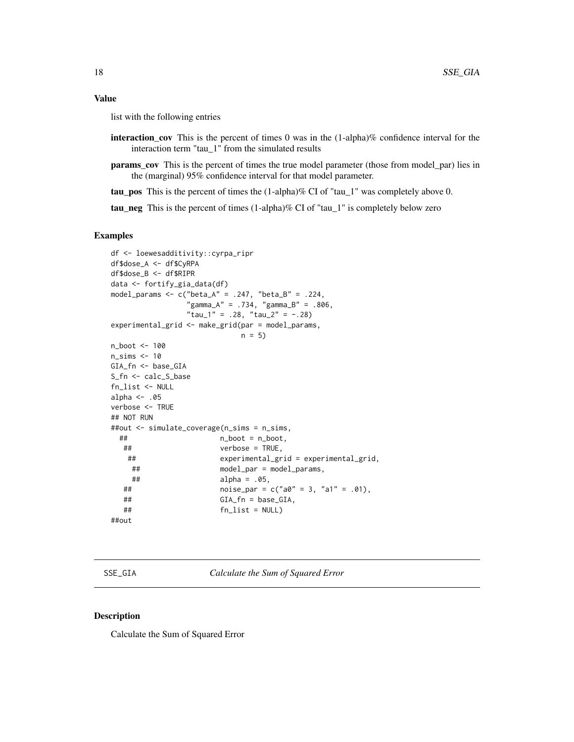<span id="page-17-0"></span>list with the following entries

- interaction\_cov This is the percent of times 0 was in the (1-alpha)% confidence interval for the interaction term "tau\_1" from the simulated results
- params\_cov This is the percent of times the true model parameter (those from model\_par) lies in the (marginal) 95% confidence interval for that model parameter.

tau\_pos This is the percent of times the (1-alpha)% CI of "tau\_1" was completely above 0.

tau\_neg This is the percent of times  $(1-\alpha)/\%$  CI of "tau\_1" is completely below zero

#### Examples

```
df <- loewesadditivity::cyrpa_ripr
df$dose_A <- df$CyRPA
df$dose_B <- df$RIPR
data <- fortify_gia_data(df)
model_params <- c("beta_A" = .247, "beta_B" = .224,"gamma_A" = .734, "gamma_B" = .806,"tau_1" = .28, "tau_2" = -.28)
experimental_grid <- make_grid(par = model_params,
                        n = 5n_boot <- 100
n_sims \leq -10GIA_fn <- base_GIA
S_fn <- calc_S_base
fn_list <- NULL
alpha <- .05
verbose <- TRUE
## NOT RUN
##out <- simulate_coverage(n_sims = n_sims,
 ## n_boot = n_boot,
  ## verbose = TRUE,
   ## experimental_grid = experimental_grid,
   ## model_par = model_params,
    ## alpha = .05,
  ## noise\_par = c("a0" = 3, "a1" = .01),## GIA_fn = base_GIA,
  ## fn_list = NULL)
##out
```
SSE\_GIA *Calculate the Sum of Squared Error*

#### Description

Calculate the Sum of Squared Error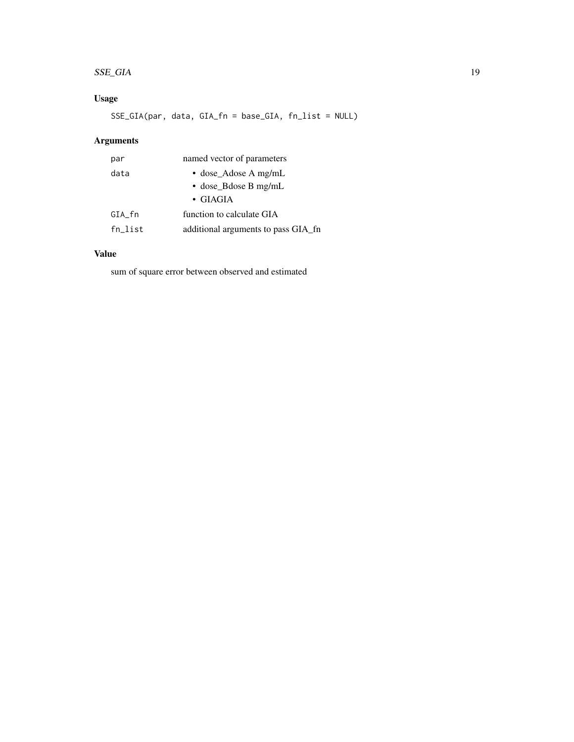#### $SSE_GIA$  19

# Usage

SSE\_GIA(par, data, GIA\_fn = base\_GIA, fn\_list = NULL)

# Arguments

| par     | named vector of parameters          |
|---------|-------------------------------------|
| data    | $\bullet$ dose Adose A mg/mL        |
|         | $\bullet$ dose B dose B mg/mL       |
|         | $\bullet$ GIAGIA                    |
| GIA_fn  | function to calculate GIA           |
| fn_list | additional arguments to pass GIA_fn |

# Value

sum of square error between observed and estimated